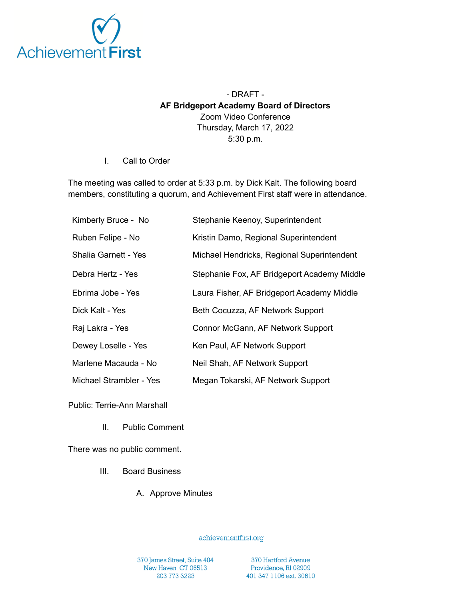

## - DRAFT - **AF Bridgeport Academy Board of Directors** Zoom Video Conference Thursday, March 17, 2022 5:30 p.m.

I. Call to Order

The meeting was called to order at 5:33 p.m. by Dick Kalt. The following board members, constituting a quorum, and Achievement First staff were in attendance.

| Kimberly Bruce - No     | Stephanie Keenoy, Superintendent            |
|-------------------------|---------------------------------------------|
| Ruben Felipe - No       | Kristin Damo, Regional Superintendent       |
| Shalia Garnett - Yes    | Michael Hendricks, Regional Superintendent  |
| Debra Hertz - Yes       | Stephanie Fox, AF Bridgeport Academy Middle |
| Ebrima Jobe - Yes       | Laura Fisher, AF Bridgeport Academy Middle  |
| Dick Kalt - Yes         | Beth Cocuzza, AF Network Support            |
| Raj Lakra - Yes         | Connor McGann, AF Network Support           |
| Dewey Loselle - Yes     | Ken Paul, AF Network Support                |
| Marlene Macauda - No    | Neil Shah, AF Network Support               |
| Michael Strambler - Yes | Megan Tokarski, AF Network Support          |

Public: Terrie-Ann Marshall

II. Public Comment

There was no public comment.

- III. Board Business
	- A. Approve Minutes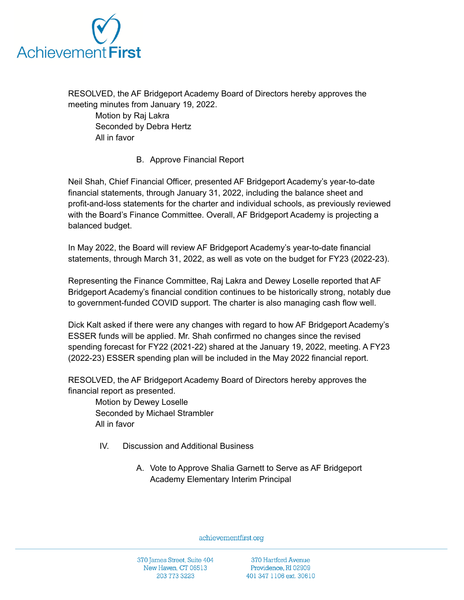

RESOLVED, the AF Bridgeport Academy Board of Directors hereby approves the meeting minutes from January 19, 2022.

Motion by Raj Lakra Seconded by Debra Hertz All in favor

B. Approve Financial Report

Neil Shah, Chief Financial Officer, presented AF Bridgeport Academy's year-to-date financial statements, through January 31, 2022, including the balance sheet and profit-and-loss statements for the charter and individual schools, as previously reviewed with the Board's Finance Committee. Overall, AF Bridgeport Academy is projecting a balanced budget.

In May 2022, the Board will review AF Bridgeport Academy's year-to-date financial statements, through March 31, 2022, as well as vote on the budget for FY23 (2022-23).

Representing the Finance Committee, Raj Lakra and Dewey Loselle reported that AF Bridgeport Academy's financial condition continues to be historically strong, notably due to government-funded COVID support. The charter is also managing cash flow well.

Dick Kalt asked if there were any changes with regard to how AF Bridgeport Academy's ESSER funds will be applied. Mr. Shah confirmed no changes since the revised spending forecast for FY22 (2021-22) shared at the January 19, 2022, meeting. A FY23 (2022-23) ESSER spending plan will be included in the May 2022 financial report.

RESOLVED, the AF Bridgeport Academy Board of Directors hereby approves the financial report as presented.

Motion by Dewey Loselle Seconded by Michael Strambler All in favor

- IV. Discussion and Additional Business
	- A. Vote to Approve Shalia Garnett to Serve as AF Bridgeport Academy Elementary Interim Principal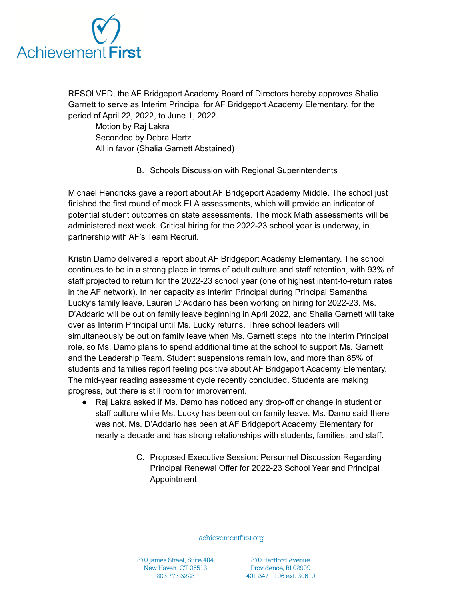

RESOLVED, the AF Bridgeport Academy Board of Directors hereby approves Shalia Garnett to serve as Interim Principal for AF Bridgeport Academy Elementary, for the period of April 22, 2022, to June 1, 2022.

Motion by Raj Lakra Seconded by Debra Hertz All in favor (Shalia Garnett Abstained)

B. Schools Discussion with Regional Superintendents

Michael Hendricks gave a report about AF Bridgeport Academy Middle. The school just finished the first round of mock ELA assessments, which will provide an indicator of potential student outcomes on state assessments. The mock Math assessments will be administered next week. Critical hiring for the 2022-23 school year is underway, in partnership with AF's Team Recruit.

Kristin Damo delivered a report about AF Bridgeport Academy Elementary. The school continues to be in a strong place in terms of adult culture and staff retention, with 93% of staff projected to return for the 2022-23 school year (one of highest intent-to-return rates in the AF network). In her capacity as Interim Principal during Principal Samantha Lucky's family leave, Lauren D'Addario has been working on hiring for 2022-23. Ms. D'Addario will be out on family leave beginning in April 2022, and Shalia Garnett will take over as Interim Principal until Ms. Lucky returns. Three school leaders will simultaneously be out on family leave when Ms. Garnett steps into the Interim Principal role, so Ms. Damo plans to spend additional time at the school to support Ms. Garnett and the Leadership Team. Student suspensions remain low, and more than 85% of students and families report feeling positive about AF Bridgeport Academy Elementary. The mid-year reading assessment cycle recently concluded. Students are making progress, but there is still room for improvement.

- Raj Lakra asked if Ms. Damo has noticed any drop-off or change in student or staff culture while Ms. Lucky has been out on family leave. Ms. Damo said there was not. Ms. D'Addario has been at AF Bridgeport Academy Elementary for nearly a decade and has strong relationships with students, families, and staff.
	- C. Proposed Executive Session: Personnel Discussion Regarding Principal Renewal Offer for 2022-23 School Year and Principal Appointment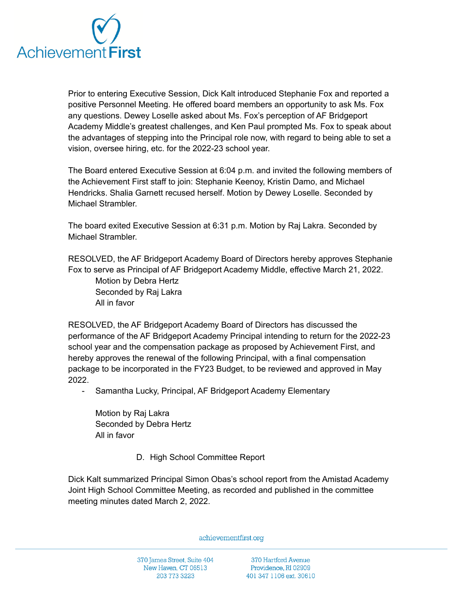

Prior to entering Executive Session, Dick Kalt introduced Stephanie Fox and reported a positive Personnel Meeting. He offered board members an opportunity to ask Ms. Fox any questions. Dewey Loselle asked about Ms. Fox's perception of AF Bridgeport Academy Middle's greatest challenges, and Ken Paul prompted Ms. Fox to speak about the advantages of stepping into the Principal role now, with regard to being able to set a vision, oversee hiring, etc. for the 2022-23 school year.

The Board entered Executive Session at 6:04 p.m. and invited the following members of the Achievement First staff to join: Stephanie Keenoy, Kristin Damo, and Michael Hendricks. Shalia Garnett recused herself. Motion by Dewey Loselle. Seconded by Michael Strambler.

The board exited Executive Session at 6:31 p.m. Motion by Raj Lakra. Seconded by Michael Strambler.

RESOLVED, the AF Bridgeport Academy Board of Directors hereby approves Stephanie Fox to serve as Principal of AF Bridgeport Academy Middle, effective March 21, 2022. Motion by Debra Hertz Seconded by Raj Lakra All in favor

RESOLVED, the AF Bridgeport Academy Board of Directors has discussed the performance of the AF Bridgeport Academy Principal intending to return for the 2022-23 school year and the compensation package as proposed by Achievement First, and hereby approves the renewal of the following Principal, with a final compensation package to be incorporated in the FY23 Budget, to be reviewed and approved in May 2022.

Samantha Lucky, Principal, AF Bridgeport Academy Elementary

Motion by Raj Lakra Seconded by Debra Hertz All in favor

D. High School Committee Report

Dick Kalt summarized Principal Simon Obas's school report from the Amistad Academy Joint High School Committee Meeting, as recorded and published in the committee meeting minutes dated March 2, 2022.